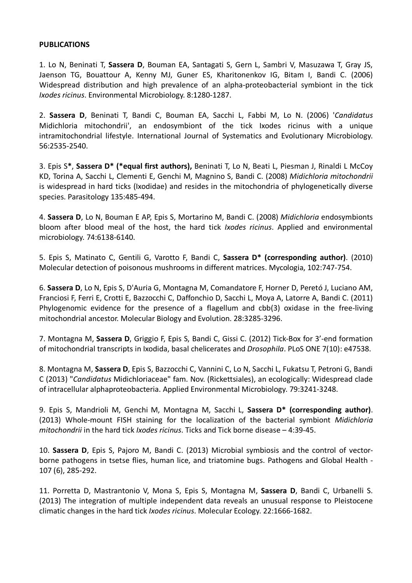## **PUBLICATIONS**

1. Lo N, Beninati T, **Sassera D**, Bouman EA, Santagati S, Gern L, Sambri V, Masuzawa T, Gray JS, Jaenson TG, Bouattour A, Kenny MJ, Guner ES, Kharitonenkov IG, Bitam I, Bandi C. (2006) Widespread distribution and high prevalence of an alpha-proteobacterial symbiont in the tick *Ixodes ricinus*. Environmental Microbiology. 8:1280-1287.

2. **Sassera D**, Beninati T, Bandi C, Bouman EA, Sacchi L, Fabbi M, Lo N. (2006) '*Candidatus* Midichloria mitochondrii', an endosymbiont of the tick Ixodes ricinus with a unique intramitochondrial lifestyle. International Journal of Systematics and Evolutionary Microbiology. 56:2535-2540.

3. Epis S**\***, **Sassera D\* (\*equal first authors),** Beninati T, Lo N, Beati L, Piesman J, Rinaldi L McCoy KD, Torina A, Sacchi L, Clementi E, Genchi M, Magnino S, Bandi C. (2008) *Midichloria mitochondrii* is widespread in hard ticks (Ixodidae) and resides in the mitochondria of phylogenetically diverse species. Parasitology 135:485-494.

4. **Sassera D**, Lo N, Bouman E AP, Epis S, Mortarino M, Bandi C. (2008) *Midichloria* endosymbionts bloom after blood meal of the host, the hard tick *Ixodes ricinus*. Applied and environmental microbiology. 74:6138-6140.

5. Epis S, Matinato C, Gentili G, Varotto F, Bandi C, **Sassera D\* (corresponding author)**. (2010) Molecular detection of poisonous mushrooms in different matrices. Mycologia, 102:747-754.

6. **Sassera D**, Lo N, Epis S, D'Auria G, Montagna M, Comandatore F, Horner D, Peretó J, Luciano AM, Franciosi F, Ferri E, Crotti E, Bazzocchi C, Daffonchio D, Sacchi L, Moya A, Latorre A, Bandi C. (2011) Phylogenomic evidence for the presence of a flagellum and cbb(3) oxidase in the free-living mitochondrial ancestor. Molecular Biology and Evolution. 28:3285-3296.

7. Montagna M, **Sassera D**, Griggio F, Epis S, Bandi C, Gissi C. (2012) Tick-Box for 3'-end formation of mitochondrial transcripts in Ixodida, basal chelicerates and *Drosophila*. PLoS ONE 7(10): e47538.

8. Montagna M, **Sassera D**, Epis S, Bazzocchi C, Vannini C, Lo N, Sacchi L, Fukatsu T, Petroni G, Bandi C (2013) "*Candidatus* Midichloriaceae" fam. Nov. (Rickettsiales), an ecologically: Widespread clade of intracellular alphaproteobacteria. Applied Environmental Microbiology. 79:3241-3248.

9. Epis S, Mandrioli M, Genchi M, Montagna M, Sacchi L, **Sassera D\* (corresponding author)**. (2013) Whole-mount FISH staining for the localization of the bacterial symbiont *Midichloria mitochondrii* in the hard tick *Ixodes ricinus*. Ticks and Tick borne disease – 4:39-45.

10. **Sassera D**, Epis S, Pajoro M, Bandi C. (2013) Microbial symbiosis and the control of vectorborne pathogens in tsetse flies, human lice, and triatomine bugs. Pathogens and Global Health - 107 (6), 285-292.

11. Porretta D, Mastrantonio V, Mona S, Epis S, Montagna M, **Sassera D**, Bandi C, Urbanelli S. (2013) The integration of multiple independent data reveals an unusual response to Pleistocene climatic changes in the hard tick *Ixodes ricinus*. Molecular Ecology. 22:1666-1682.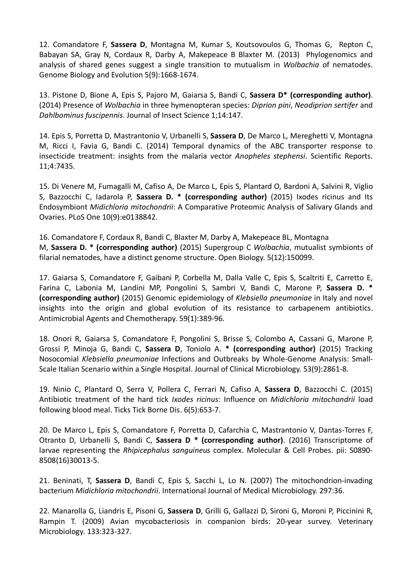12. Comandatore F, **Sassera D**, Montagna M, Kumar S, Koutsovoulos G, Thomas G, Repton C, Babayan SA, Gray N, Cordaux R, Darby A, Makepeace B Blaxter M. (2013) Phylogenomics and analysis of shared genes suggest a single transition to mutualism in *Wolbachia* of nematodes. Genome Biology and Evolution 5(9):1668-1674.

13. Pistone D, Bione A, Epis S, Pajoro M, Gaiarsa S, Bandi C, **Sassera D\* (corresponding author)**. (2014) Presence of *Wolbachia* in three hymenopteran species: *Diprion pini*, *Neodiprion sertifer* and *Dahlbominus fuscipennis*. Journal of Insect Science 1;14:147.

14. Epis S, Porretta D, Mastrantonio V, Urbanelli S, **Sassera D**, De Marco L, Mereghetti V, Montagna M, Ricci I, Favia G, Bandi C. (2014) Temporal dynamics of the ABC transporter response to insecticide treatment: insights from the malaria vector *Anopheles stephensi*. Scientific Reports. 11;4:7435.

15. Di Venere M, Fumagalli M, Cafiso A, De Marco L, Epis S, Plantard O, Bardoni A, Salvini R, Viglio S, Bazzocchi C, Iadarola P, **Sassera D. \* (corresponding author)** (2015) Ixodes ricinus and Its Endosymbiont *Midichloria mitochondrii*: A Comparative Proteomic Analysis of Salivary Glands and Ovaries. PLoS One 10(9):e0138842.

16. Comandatore F, Cordaux R, Bandi C, Blaxter M, Darby A, Makepeace BL, Montagna M, **Sassera D. \* (corresponding author)** (2015) Supergroup C *Wolbachia*, mutualist symbionts of filarial nematodes, have a distinct genome structure. Open Biology. 5(12):150099.

17. Gaiarsa S, Comandatore F, Gaibani P, Corbella M, Dalla Valle C, Epis S, Scaltriti E, Carretto E, Farina C, Labonia M, Landini MP, Pongolini S, Sambri V, Bandi C, Marone P, **Sassera D. \* (corresponding author)** (2015) Genomic epidemiology of *Klebsiella pneumoniae* in Italy and novel insights into the origin and global evolution of its resistance to carbapenem antibiotics. Antimicrobial Agents and Chemotherapy. 59(1):389-96.

18. Onori R, Gaiarsa S, Comandatore F, Pongolini S, Brisse S, Colombo A, Cassani G, Marone P, Grossi P, Minoja G, Bandi C, **Sassera D**, Toniolo A. **\* (corresponding author)** (2015) Tracking Nosocomial *Klebsiella pneumoniae* Infections and Outbreaks by Whole-Genome Analysis: Small-Scale Italian Scenario within a Single Hospital. Journal of Clinical Microbiology. 53(9):2861-8.

19. Ninio C, Plantard O, Serra V, Pollera C, Ferrari N, Cafiso A, **Sassera D**, Bazzocchi C. (2015) Antibiotic treatment of the hard tick *Ixodes ricinus*: Influence on *Midichloria mitochondrii* load following blood meal. Ticks Tick Borne Dis. 6(5):653-7.

20. De Marco L, Epis S, Comandatore F, Porretta D, Cafarchia C, Mastrantonio V, Dantas-Torres F, Otranto D, Urbanelli S, Bandi C, **Sassera D \* (corresponding author)**. (2016) Transcriptome of larvae representing the *Rhipicephalus sanguineus* complex. Molecular & Cell Probes. pii: S0890- 8508(16)30013-5.

21. Beninati, T, **Sassera D**, Bandi C, Epis S, Sacchi L, Lo N. (2007) The mitochondrion-invading bacterium *Midichloria mitochondrii*. International Journal of Medical Microbiology. 297:36.

22. Manarolla G, Liandris E, Pisoni G, **Sassera D**, Grilli G, Gallazzi D, Sironi G, Moroni P, Piccinini R, Rampin T. (2009) Avian mycobacteriosis in companion birds: 20-year survey. Veterinary Microbiology. 133:323-327.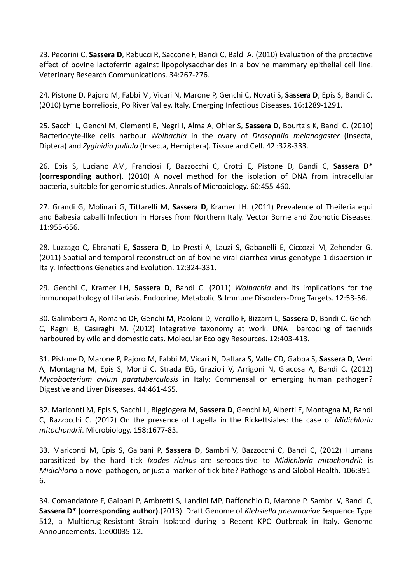23. Pecorini C, **Sassera D**, Rebucci R, Saccone F, Bandi C, Baldi A. (2010) Evaluation of the protective effect of bovine lactoferrin against lipopolysaccharides in a bovine mammary epithelial cell line. Veterinary Research Communications. 34:267-276.

24. Pistone D, Pajoro M, Fabbi M, Vicari N, Marone P, Genchi C, Novati S, **Sassera D**, Epis S, Bandi C. (2010) Lyme borreliosis, Po River Valley, Italy. Emerging Infectious Diseases. 16:1289-1291.

25. Sacchi L, Genchi M, Clementi E, Negri I, Alma A, Ohler S, **Sassera D**, Bourtzis K, Bandi C. (2010) Bacteriocyte-like cells harbour *Wolbachia* in the ovary of *Drosophila melanogaster* (Insecta, Diptera) and *Zyginidia pullula* (Insecta, Hemiptera). Tissue and Cell. 42 :328-333.

26. Epis S, Luciano AM, Franciosi F, Bazzocchi C, Crotti E, Pistone D, Bandi C, **Sassera D\* (corresponding author)**. (2010) A novel method for the isolation of DNA from intracellular bacteria, suitable for genomic studies. Annals of Microbiology. 60:455-460.

27. Grandi G, Molinari G, Tittarelli M, **Sassera D**, Kramer LH. (2011) Prevalence of Theileria equi and Babesia caballi Infection in Horses from Northern Italy. Vector Borne and Zoonotic Diseases. 11:955-656.

28. Luzzago C, Ebranati E, **Sassera D**, Lo Presti A, Lauzi S, Gabanelli E, Ciccozzi M, Zehender G. (2011) Spatial and temporal reconstruction of bovine viral diarrhea virus genotype 1 dispersion in Italy. Infecttions Genetics and Evolution. 12:324-331.

29. Genchi C, Kramer LH, **Sassera D**, Bandi C. (2011) *Wolbachia* and its implications for the immunopathology of filariasis. Endocrine, Metabolic & Immune Disorders-Drug Targets. 12:53-56.

30. Galimberti A, Romano DF, Genchi M, Paoloni D, Vercillo F, Bizzarri L, **Sassera D**, Bandi C, Genchi C, Ragni B, Casiraghi M. (2012) Integrative taxonomy at work: DNA barcoding of taeniids harboured by wild and domestic cats. Molecular Ecology Resources. 12:403-413.

31. Pistone D, Marone P, Pajoro M, Fabbi M, Vicari N, Daffara S, Valle CD, Gabba S, **Sassera D**, Verri A, Montagna M, Epis S, Monti C, Strada EG, Grazioli V, Arrigoni N, Giacosa A, Bandi C. (2012) *Mycobacterium avium paratuberculosis* in Italy: Commensal or emerging human pathogen? Digestive and Liver Diseases. 44:461-465.

32. Mariconti M, Epis S, Sacchi L, Biggiogera M, **Sassera D**, Genchi M, Alberti E, Montagna M, Bandi C, Bazzocchi C. (2012) On the presence of flagella in the Rickettsiales: the case of *Midichloria mitochondrii*. Microbiology. 158:1677-83.

33. Mariconti M, Epis S, Gaibani P, **Sassera D**, Sambri V, Bazzocchi C, Bandi C, (2012) Humans parasitized by the hard tick *Ixodes ricinus* are seropositive to *Midichloria mitochondrii*: is *Midichloria* a novel pathogen, or just a marker of tick bite? Pathogens and Global Health. 106:391- 6.

34. Comandatore F, Gaibani P, Ambretti S, Landini MP, Daffonchio D, Marone P, Sambri V, Bandi C, **Sassera D\* (corresponding author)**.(2013). Draft Genome of *Klebsiella pneumoniae* Sequence Type 512, a Multidrug-Resistant Strain Isolated during a Recent KPC Outbreak in Italy. Genome Announcements. 1:e00035-12.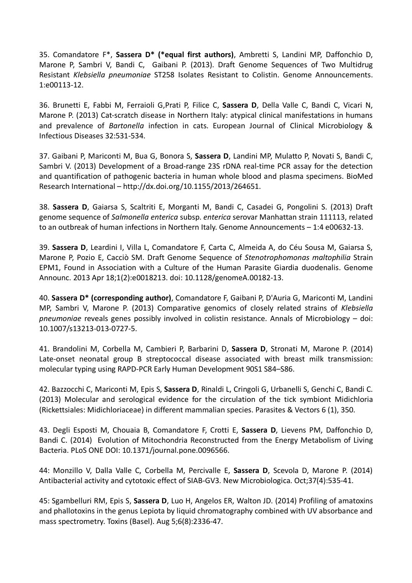35. Comandatore F\*, **Sassera D\* (\*equal first authors)**, Ambretti S, Landini MP, Daffonchio D, Marone P, Sambri V, Bandi C, Gaibani P. (2013). Draft Genome Sequences of Two Multidrug Resistant *Klebsiella pneumoniae* ST258 Isolates Resistant to Colistin. Genome Announcements. 1:e00113-12.

36. Brunetti E, Fabbi M, Ferraioli G,Prati P, Filice C, **Sassera D**, Della Valle C, Bandi C, Vicari N, Marone P. (2013) Cat-scratch disease in Northern Italy: atypical clinical manifestations in humans and prevalence of *Bartonella* infection in cats. European Journal of Clinical Microbiology & Infectious Diseases 32:531-534.

37. Gaibani P, Mariconti M, Bua G, Bonora S, **Sassera D**, Landini MP, Mulatto P, Novati S, Bandi C, Sambri V. (2013) Development of a Broad-range 23S rDNA real-time PCR assay for the detection and quantification of pathogenic bacteria in human whole blood and plasma specimens. BioMed Research International – http://dx.doi.org/10.1155/2013/264651.

38. **Sassera D**, Gaiarsa S, Scaltriti E, Morganti M, Bandi C, Casadei G, Pongolini S. (2013) Draft genome sequence of *Salmonella enterica* subsp. *enterica* serovar Manhattan strain 111113, related to an outbreak of human infections in Northern Italy. Genome Announcements – 1:4 e00632-13.

39. **Sassera D**, Leardini I, Villa L, Comandatore F, Carta C, Almeida A, do Céu Sousa M, Gaiarsa S, Marone P, Pozio E, Cacciò SM. Draft Genome Sequence of *Stenotrophomonas maltophilia* Strain EPM1, Found in Association with a Culture of the Human Parasite Giardia duodenalis. Genome Announc. 2013 Apr 18;1(2):e0018213. doi: 10.1128/genomeA.00182-13.

40. **Sassera D\* (corresponding author)**, Comandatore F, Gaibani P, D'Auria G, Mariconti M, Landini MP, Sambri V, Marone P. (2013) Comparative genomics of closely related strains of *Klebsiella pneumoniae* reveals genes possibly involved in colistin resistance. Annals of Microbiology – doi: 10.1007/s13213-013-0727-5.

41. Brandolini M, Corbella M, Cambieri P, Barbarini D, **Sassera D**, Stronati M, Marone P. (2014) Late-onset neonatal group B streptococcal disease associated with breast milk transmission: molecular typing using RAPD-PCR Early Human Development 90S1 S84–S86.

42. Bazzocchi C, Mariconti M, Epis S, **Sassera D**, Rinaldi L, Cringoli G, Urbanelli S, Genchi C, Bandi C. (2013) Molecular and serological evidence for the circulation of the tick symbiont Midichloria (Rickettsiales: Midichloriaceae) in different mammalian species. Parasites & Vectors 6 (1), 350.

43. Degli Esposti M, Chouaia B, Comandatore F, Crotti E, **Sassera D**, Lievens PM, Daffonchio D, Bandi C. (2014) Evolution of Mitochondria Reconstructed from the Energy Metabolism of Living Bacteria. PLoS ONE DOI: 10.1371/journal.pone.0096566.

44: Monzillo V, Dalla Valle C, Corbella M, Percivalle E, **Sassera D**, Scevola D, Marone P. (2014) Antibacterial activity and cytotoxic effect of SIAB-GV3. New Microbiologica. Oct;37(4):535-41.

45: Sgambelluri RM, Epis S, **Sassera D**, Luo H, Angelos ER, Walton JD. (2014) Profiling of amatoxins and phallotoxins in the genus Lepiota by liquid chromatography combined with UV absorbance and mass spectrometry. Toxins (Basel). Aug 5;6(8):2336-47.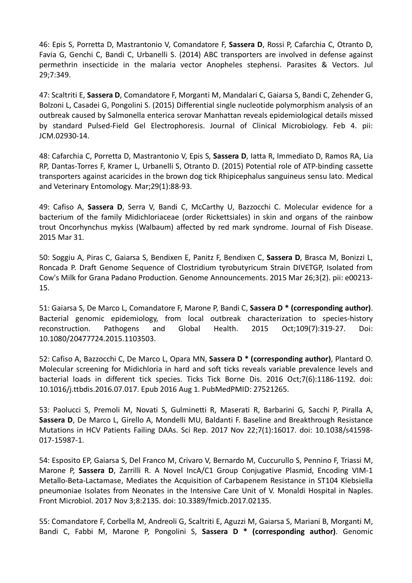46: Epis S, Porretta D, Mastrantonio V, Comandatore F, **Sassera D**, Rossi P, Cafarchia C, Otranto D, Favia G, Genchi C, Bandi C, Urbanelli S. (2014) ABC transporters are involved in defense against permethrin insecticide in the malaria vector Anopheles stephensi. Parasites & Vectors. Jul 29;7:349.

47: Scaltriti E, **Sassera D**, Comandatore F, Morganti M, Mandalari C, Gaiarsa S, Bandi C, Zehender G, Bolzoni L, Casadei G, Pongolini S. (2015) Differential single nucleotide polymorphism analysis of an outbreak caused by Salmonella enterica serovar Manhattan reveals epidemiological details missed by standard Pulsed-Field Gel Electrophoresis. Journal of Clinical Microbiology. Feb 4. pii: JCM.02930-14.

48: Cafarchia C, Porretta D, Mastrantonio V, Epis S, **Sassera D**, Iatta R, Immediato D, Ramos RA, Lia RP, Dantas-Torres F, Kramer L, Urbanelli S, Otranto D. (2015) Potential role of ATP-binding cassette transporters against acaricides in the brown dog tick Rhipicephalus sanguineus sensu lato. Medical and Veterinary Entomology. Mar;29(1):88-93.

49: Cafiso A, **Sassera D**, Serra V, Bandi C, McCarthy U, Bazzocchi C. Molecular evidence for a bacterium of the family Midichloriaceae (order Rickettsiales) in skin and organs of the rainbow trout Oncorhynchus mykiss (Walbaum) affected by red mark syndrome. Journal of Fish Disease. 2015 Mar 31.

50: Soggiu A, Piras C, Gaiarsa S, Bendixen E, Panitz F, Bendixen C, **Sassera D**, Brasca M, Bonizzi L, Roncada P. Draft Genome Sequence of Clostridium tyrobutyricum Strain DIVETGP, Isolated from Cow's Milk for Grana Padano Production. Genome Announcements. 2015 Mar 26;3(2). pii: e00213- 15.

51: Gaiarsa S, De Marco L, Comandatore F, Marone P, Bandi C, **Sassera D \* (corresponding author)**. Bacterial genomic epidemiology, from local outbreak characterization to species-history reconstruction. Pathogens and Global Health. 2015 Oct;109(7):319-27. Doi: 10.1080/20477724.2015.1103503.

52: Cafiso A, Bazzocchi C, De Marco L, Opara MN, **Sassera D \* (corresponding author)**, Plantard O. Molecular screening for Midichloria in hard and soft ticks reveals variable prevalence levels and bacterial loads in different tick species. Ticks Tick Borne Dis. 2016 Oct;7(6):1186-1192. doi: 10.1016/j.ttbdis.2016.07.017. Epub 2016 Aug 1. PubMedPMID: 27521265.

53: Paolucci S, Premoli M, Novati S, Gulminetti R, Maserati R, Barbarini G, Sacchi P, Piralla A, **Sassera D**, De Marco L, Girello A, Mondelli MU, Baldanti F. Baseline and Breakthrough Resistance Mutations in HCV Patients Failing DAAs. Sci Rep. 2017 Nov 22;7(1):16017. doi: 10.1038/s41598- 017-15987-1.

54: Esposito EP, Gaiarsa S, Del Franco M, Crivaro V, Bernardo M, Cuccurullo S, Pennino F, Triassi M, Marone P, **Sassera D**, Zarrilli R. A Novel IncA/C1 Group Conjugative Plasmid, Encoding VIM-1 Metallo-Beta-Lactamase, Mediates the Acquisition of Carbapenem Resistance in ST104 Klebsiella pneumoniae Isolates from Neonates in the Intensive Care Unit of V. Monaldi Hospital in Naples. Front Microbiol. 2017 Nov 3;8:2135. doi: 10.3389/fmicb.2017.02135.

55: Comandatore F, Corbella M, Andreoli G, Scaltriti E, Aguzzi M, Gaiarsa S, Mariani B, Morganti M, Bandi C, Fabbi M, Marone P, Pongolini S, **Sassera D \* (corresponding author)**. Genomic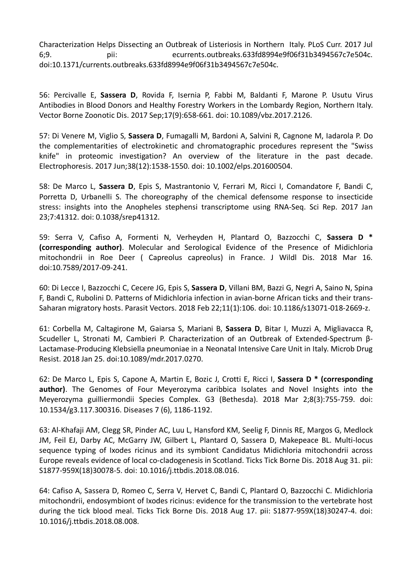Characterization Helps Dissecting an Outbreak of Listeriosis in Northern Italy. PLoS Curr. 2017 Jul 6;9. pii: ecurrents.outbreaks.633fd8994e9f06f31b3494567c7e504c. doi:10.1371/currents.outbreaks.633fd8994e9f06f31b3494567c7e504c.

56: Percivalle E, **Sassera D**, Rovida F, Isernia P, Fabbi M, Baldanti F, Marone P. Usutu Virus Antibodies in Blood Donors and Healthy Forestry Workers in the Lombardy Region, Northern Italy. Vector Borne Zoonotic Dis. 2017 Sep;17(9):658-661. doi: 10.1089/vbz.2017.2126.

57: Di Venere M, Viglio S, **Sassera D**, Fumagalli M, Bardoni A, Salvini R, Cagnone M, Iadarola P. Do the complementarities of electrokinetic and chromatographic procedures represent the "Swiss knife" in proteomic investigation? An overview of the literature in the past decade. Electrophoresis. 2017 Jun;38(12):1538-1550. doi: 10.1002/elps.201600504.

58: De Marco L, **Sassera D**, Epis S, Mastrantonio V, Ferrari M, Ricci I, Comandatore F, Bandi C, Porretta D, Urbanelli S. The choreography of the chemical defensome response to insecticide stress: insights into the Anopheles stephensi transcriptome using RNA-Seq. Sci Rep. 2017 Jan 23;7:41312. doi: 0.1038/srep41312.

59: Serra V, Cafiso A, Formenti N, Verheyden H, Plantard O, Bazzocchi C, **Sassera D \* (corresponding author)**. Molecular and Serological Evidence of the Presence of Midichloria mitochondrii in Roe Deer ( Capreolus capreolus) in France. J Wildl Dis. 2018 Mar 16. doi:10.7589/2017-09-241.

60: Di Lecce I, Bazzocchi C, Cecere JG, Epis S, **Sassera D**, Villani BM, Bazzi G, Negri A, Saino N, Spina F, Bandi C, Rubolini D. Patterns of Midichloria infection in avian-borne African ticks and their trans-Saharan migratory hosts. Parasit Vectors. 2018 Feb 22;11(1):106. doi: 10.1186/s13071-018-2669-z.

61: Corbella M, Caltagirone M, Gaiarsa S, Mariani B, **Sassera D**, Bitar I, Muzzi A, Migliavacca R, Scudeller L, Stronati M, Cambieri P. Characterization of an Outbreak of Extended-Spectrum β-Lactamase-Producing Klebsiella pneumoniae in a Neonatal Intensive Care Unit in Italy. Microb Drug Resist. 2018 Jan 25. doi:10.1089/mdr.2017.0270.

62: De Marco L, Epis S, Capone A, Martin E, Bozic J, Crotti E, Ricci I, **Sassera D \* (corresponding author)**. The Genomes of Four Meyerozyma caribbica Isolates and Novel Insights into the Meyerozyma guilliermondii Species Complex. G3 (Bethesda). 2018 Mar 2;8(3):755-759. doi: 10.1534/g3.117.300316. Diseases 7 (6), 1186-1192.

63: Al-Khafaji AM, Clegg SR, Pinder AC, Luu L, Hansford KM, Seelig F, Dinnis RE, Margos G, Medlock JM, Feil EJ, Darby AC, McGarry JW, Gilbert L, Plantard O, Sassera D, Makepeace BL. Multi-locus sequence typing of Ixodes ricinus and its symbiont Candidatus Midichloria mitochondrii across Europe reveals evidence of local co-cladogenesis in Scotland. Ticks Tick Borne Dis. 2018 Aug 31. pii: S1877-959X(18)30078-5. doi: 10.1016/j.ttbdis.2018.08.016.

64: Cafiso A, Sassera D, Romeo C, Serra V, Hervet C, Bandi C, Plantard O, Bazzocchi C. Midichloria mitochondrii, endosymbiont of Ixodes ricinus: evidence for the transmission to the vertebrate host during the tick blood meal. Ticks Tick Borne Dis. 2018 Aug 17. pii: S1877-959X(18)30247-4. doi: 10.1016/j.ttbdis.2018.08.008.